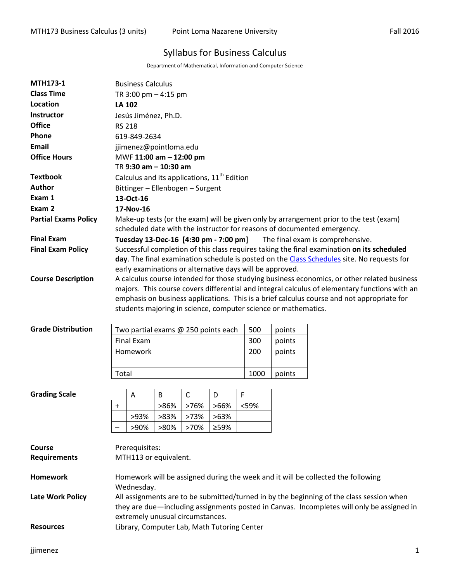# Syllabus for Business Calculus

Department of Mathematical, Information and Computer Science

| <b>MTH173-1</b>             | <b>Business Calculus</b>                                                                                                                                          |                       |      |              |                                             |      |                                                          |                                                                                             |  |  |  |
|-----------------------------|-------------------------------------------------------------------------------------------------------------------------------------------------------------------|-----------------------|------|--------------|---------------------------------------------|------|----------------------------------------------------------|---------------------------------------------------------------------------------------------|--|--|--|
| <b>Class Time</b>           | TR 3:00 pm $-$ 4:15 pm                                                                                                                                            |                       |      |              |                                             |      |                                                          |                                                                                             |  |  |  |
| Location                    | <b>LA 102</b>                                                                                                                                                     |                       |      |              |                                             |      |                                                          |                                                                                             |  |  |  |
| Instructor                  | Jesús Jiménez, Ph.D.                                                                                                                                              |                       |      |              |                                             |      |                                                          |                                                                                             |  |  |  |
| <b>Office</b>               | <b>RS 218</b>                                                                                                                                                     |                       |      |              |                                             |      |                                                          |                                                                                             |  |  |  |
| Phone                       | 619-849-2634                                                                                                                                                      |                       |      |              |                                             |      |                                                          |                                                                                             |  |  |  |
| Email                       | jjimenez@pointloma.edu                                                                                                                                            |                       |      |              |                                             |      |                                                          |                                                                                             |  |  |  |
| <b>Office Hours</b>         | MWF 11:00 am - 12:00 pm                                                                                                                                           |                       |      |              |                                             |      |                                                          |                                                                                             |  |  |  |
|                             | TR 9:30 am - 10:30 am                                                                                                                                             |                       |      |              |                                             |      |                                                          |                                                                                             |  |  |  |
| <b>Textbook</b>             | Calculus and its applications, 11 <sup>th</sup> Edition                                                                                                           |                       |      |              |                                             |      |                                                          |                                                                                             |  |  |  |
| Author                      | Bittinger - Ellenbogen - Surgent                                                                                                                                  |                       |      |              |                                             |      |                                                          |                                                                                             |  |  |  |
| Exam 1                      | 13-Oct-16                                                                                                                                                         |                       |      |              |                                             |      |                                                          |                                                                                             |  |  |  |
| Exam 2                      | 17-Nov-16                                                                                                                                                         |                       |      |              |                                             |      |                                                          |                                                                                             |  |  |  |
| <b>Partial Exams Policy</b> | Make-up tests (or the exam) will be given only by arrangement prior to the test (exam)<br>scheduled date with the instructor for reasons of documented emergency. |                       |      |              |                                             |      |                                                          |                                                                                             |  |  |  |
| <b>Final Exam</b>           | Tuesday 13-Dec-16 [4:30 pm - 7:00 pm]<br>The final exam is comprehensive.                                                                                         |                       |      |              |                                             |      |                                                          |                                                                                             |  |  |  |
| <b>Final Exam Policy</b>    | Successful completion of this class requires taking the final examination on its scheduled                                                                        |                       |      |              |                                             |      |                                                          |                                                                                             |  |  |  |
|                             |                                                                                                                                                                   |                       |      |              |                                             |      |                                                          | day. The final examination schedule is posted on the Class Schedules site. No requests for  |  |  |  |
|                             |                                                                                                                                                                   |                       |      |              |                                             |      | early examinations or alternative days will be approved. |                                                                                             |  |  |  |
| <b>Course Description</b>   |                                                                                                                                                                   |                       |      |              |                                             |      |                                                          | A calculus course intended for those studying business economics, or other related business |  |  |  |
|                             | majors. This course covers differential and integral calculus of elementary functions with an                                                                     |                       |      |              |                                             |      |                                                          |                                                                                             |  |  |  |
|                             | emphasis on business applications. This is a brief calculus course and not appropriate for<br>students majoring in science, computer science or mathematics.      |                       |      |              |                                             |      |                                                          |                                                                                             |  |  |  |
|                             |                                                                                                                                                                   |                       |      |              |                                             |      |                                                          |                                                                                             |  |  |  |
| <b>Grade Distribution</b>   |                                                                                                                                                                   |                       |      |              |                                             | 500  | points                                                   |                                                                                             |  |  |  |
|                             | Two partial exams @ 250 points each<br><b>Final Exam</b><br>300                                                                                                   |                       |      |              |                                             |      | points                                                   |                                                                                             |  |  |  |
|                             | Homework<br>200                                                                                                                                                   |                       |      |              |                                             |      | points                                                   |                                                                                             |  |  |  |
|                             |                                                                                                                                                                   |                       |      |              |                                             |      |                                                          |                                                                                             |  |  |  |
|                             | Total<br>1000<br>points                                                                                                                                           |                       |      |              |                                             |      |                                                          |                                                                                             |  |  |  |
|                             |                                                                                                                                                                   |                       |      |              |                                             |      |                                                          |                                                                                             |  |  |  |
| <b>Grading Scale</b>        |                                                                                                                                                                   | Α                     | B    | $\mathsf{C}$ | D                                           | F    |                                                          |                                                                                             |  |  |  |
|                             |                                                                                                                                                                   |                       | >86% | >76%         | >66%                                        | <59% |                                                          |                                                                                             |  |  |  |
|                             |                                                                                                                                                                   | >93%                  | >83% | >73%         | >63%                                        |      |                                                          |                                                                                             |  |  |  |
|                             |                                                                                                                                                                   | >90%                  | >80% | >70%         | ≥59%                                        |      |                                                          |                                                                                             |  |  |  |
|                             |                                                                                                                                                                   |                       |      |              |                                             |      |                                                          |                                                                                             |  |  |  |
| Course                      | Prerequisites:                                                                                                                                                    |                       |      |              |                                             |      |                                                          |                                                                                             |  |  |  |
| <b>Requirements</b>         |                                                                                                                                                                   | MTH113 or equivalent. |      |              |                                             |      |                                                          |                                                                                             |  |  |  |
| Homework                    |                                                                                                                                                                   |                       |      |              |                                             |      |                                                          |                                                                                             |  |  |  |
|                             | Homework will be assigned during the week and it will be collected the following<br>Wednesday.                                                                    |                       |      |              |                                             |      |                                                          |                                                                                             |  |  |  |
| <b>Late Work Policy</b>     | All assignments are to be submitted/turned in by the beginning of the class session when                                                                          |                       |      |              |                                             |      |                                                          |                                                                                             |  |  |  |
|                             | they are due—including assignments posted in Canvas. Incompletes will only be assigned in                                                                         |                       |      |              |                                             |      |                                                          |                                                                                             |  |  |  |
|                             | extremely unusual circumstances.                                                                                                                                  |                       |      |              |                                             |      |                                                          |                                                                                             |  |  |  |
| <b>Resources</b>            |                                                                                                                                                                   |                       |      |              | Library, Computer Lab, Math Tutoring Center |      |                                                          |                                                                                             |  |  |  |
|                             |                                                                                                                                                                   |                       |      |              |                                             |      |                                                          |                                                                                             |  |  |  |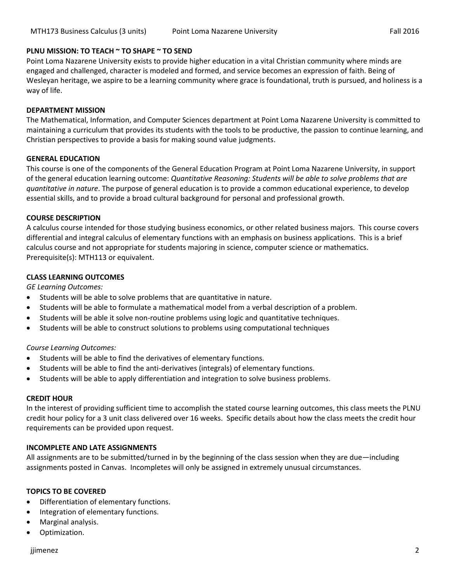# **PLNU MISSION: TO TEACH ~ TO SHAPE ~ TO SEND**

Point Loma Nazarene University exists to provide higher education in a vital Christian community where minds are engaged and challenged, character is modeled and formed, and service becomes an expression of faith. Being of Wesleyan heritage, we aspire to be a learning community where grace is foundational, truth is pursued, and holiness is a way of life.

# **DEPARTMENT MISSION**

The Mathematical, Information, and Computer Sciences department at Point Loma Nazarene University is committed to maintaining a curriculum that provides its students with the tools to be productive, the passion to continue learning, and Christian perspectives to provide a basis for making sound value judgments.

# **GENERAL EDUCATION**

This course is one of the components of the General Education Program at Point Loma Nazarene University, in support of the general education learning outcome: *Quantitative Reasoning: Students will be able to solve problems that are quantitative in nature*. The purpose of general education is to provide a common educational experience, to develop essential skills, and to provide a broad cultural background for personal and professional growth.

# **COURSE DESCRIPTION**

A calculus course intended for those studying business economics, or other related business majors. This course covers differential and integral calculus of elementary functions with an emphasis on business applications. This is a brief calculus course and not appropriate for students majoring in science, computer science or mathematics. Prerequisite(s): MTH113 or equivalent.

# **CLASS LEARNING OUTCOMES**

*GE Learning Outcomes:* 

- Students will be able to solve problems that are quantitative in nature.
- Students will be able to formulate a mathematical model from a verbal description of a problem.
- Students will be able it solve non-routine problems using logic and quantitative techniques.
- Students will be able to construct solutions to problems using computational techniques

#### *Course Learning Outcomes:*

- Students will be able to find the derivatives of elementary functions.
- Students will be able to find the anti-derivatives (integrals) of elementary functions.
- Students will be able to apply differentiation and integration to solve business problems.

#### **CREDIT HOUR**

In the interest of providing sufficient time to accomplish the stated course learning outcomes, this class meets the PLNU credit hour policy for a 3 unit class delivered over 16 weeks. Specific details about how the class meets the credit hour requirements can be provided upon request.

# **INCOMPLETE AND LATE ASSIGNMENTS**

All assignments are to be submitted/turned in by the beginning of the class session when they are due—including assignments posted in Canvas. Incompletes will only be assigned in extremely unusual circumstances.

#### **TOPICS TO BE COVERED**

- Differentiation of elementary functions.
- Integration of elementary functions.
- Marginal analysis.
- Optimization.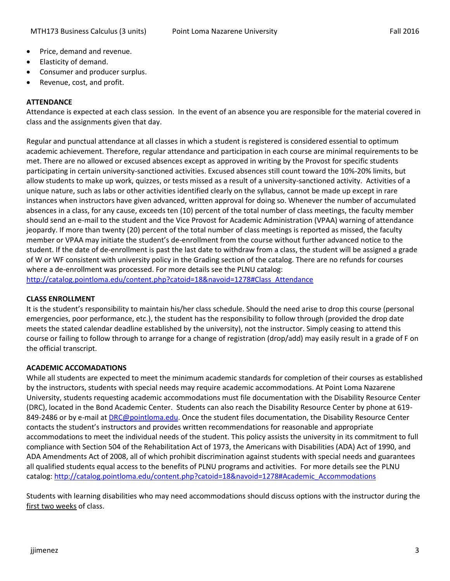- Price, demand and revenue.
- Elasticity of demand.
- Consumer and producer surplus.
- Revenue, cost, and profit.

# **ATTENDANCE**

Attendance is expected at each class session. In the event of an absence you are responsible for the material covered in class and the assignments given that day.

Regular and punctual attendance at all classes in which a student is registered is considered essential to optimum academic achievement. Therefore, regular attendance and participation in each course are minimal requirements to be met. There are no allowed or excused absences except as approved in writing by the Provost for specific students participating in certain university-sanctioned activities. Excused absences still count toward the 10%-20% limits, but allow students to make up work, quizzes, or tests missed as a result of a university-sanctioned activity. Activities of a unique nature, such as labs or other activities identified clearly on the syllabus, cannot be made up except in rare instances when instructors have given advanced, written approval for doing so. Whenever the number of accumulated absences in a class, for any cause, exceeds ten (10) percent of the total number of class meetings, the faculty member should send an e-mail to the student and the Vice Provost for Academic Administration (VPAA) warning of attendance jeopardy. If more than twenty (20) percent of the total number of class meetings is reported as missed, the faculty member or VPAA may initiate the student's de-enrollment from the course without further advanced notice to the student. If the date of de-enrollment is past the last date to withdraw from a class, the student will be assigned a grade of W or WF consistent with university policy in the Grading section of the catalog. There are no refunds for courses where a de-enrollment was processed. For more details see the PLNU catalog: [http://catalog.pointloma.edu/content.php?catoid=18&navoid=1278#Class\\_Attendance](http://catalog.pointloma.edu/content.php?catoid=18&navoid=1278#Class_Attendance)

# **CLASS ENROLLMENT**

It is the student's responsibility to maintain his/her class schedule. Should the need arise to drop this course (personal emergencies, poor performance, etc.), the student has the responsibility to follow through (provided the drop date meets the stated calendar deadline established by the university), not the instructor. Simply ceasing to attend this course or failing to follow through to arrange for a change of registration (drop/add) may easily result in a grade of F on the official transcript.

# **ACADEMIC ACCOMADATIONS**

While all students are expected to meet the minimum academic standards for completion of their courses as established by the instructors, students with special needs may require academic accommodations. At Point Loma Nazarene University, students requesting academic accommodations must file documentation with the Disability Resource Center (DRC), located in the Bond Academic Center. Students can also reach the Disability Resource Center by phone at 619- 849-2486 or by e-mail at [DRC@pointloma.edu.](mailto:DRC@pointloma.edu) Once the student files documentation, the Disability Resource Center contacts the student's instructors and provides written recommendations for reasonable and appropriate accommodations to meet the individual needs of the student. This policy assists the university in its commitment to full compliance with Section 504 of the Rehabilitation Act of 1973, the Americans with Disabilities (ADA) Act of 1990, and ADA Amendments Act of 2008, all of which prohibit discrimination against students with special needs and guarantees all qualified students equal access to the benefits of PLNU programs and activities. For more details see the PLNU catalog: [http://catalog.pointloma.edu/content.php?catoid=18&navoid=1278#Academic\\_Accommodations](http://catalog.pointloma.edu/content.php?catoid=18&navoid=1278#Academic_Accommodations) 

Students with learning disabilities who may need accommodations should discuss options with the instructor during the first two weeks of class.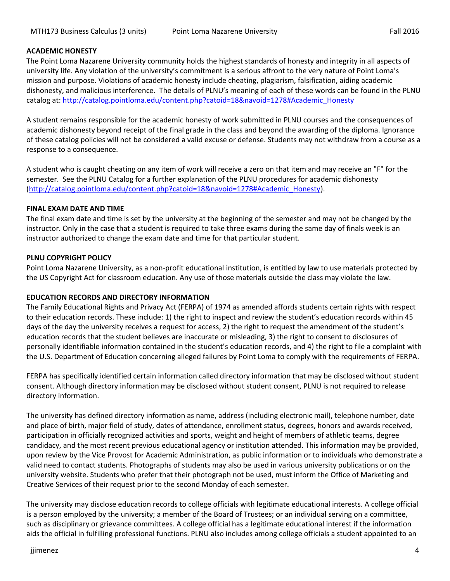#### **ACADEMIC HONESTY**

The Point Loma Nazarene University community holds the highest standards of honesty and integrity in all aspects of university life. Any violation of the university's commitment is a serious affront to the very nature of Point Loma's mission and purpose. Violations of academic honesty include cheating, plagiarism, falsification, aiding academic dishonesty, and malicious interference. The details of PLNU's meaning of each of these words can be found in the PLNU catalog at: [http://catalog.pointloma.edu/content.php?catoid=18&navoid=1278#Academic\\_Honesty](http://catalog.pointloma.edu/content.php?catoid=18&navoid=1278#Academic_Honesty)

A student remains responsible for the academic honesty of work submitted in PLNU courses and the consequences of academic dishonesty beyond receipt of the final grade in the class and beyond the awarding of the diploma. Ignorance of these catalog policies will not be considered a valid excuse or defense. Students may not withdraw from a course as a response to a consequence.

A student who is caught cheating on any item of work will receive a zero on that item and may receive an "F" for the semester. See the PLNU Catalog for a further explanation of the PLNU procedures for academic dishonesty [\(http://catalog.pointloma.edu/content.php?catoid=18&navoid=1278#Academic\\_Honesty\)](http://catalog.pointloma.edu/content.php?catoid=18&navoid=1278#Academic_Honesty).

#### **FINAL EXAM DATE AND TIME**

The final exam date and time is set by the university at the beginning of the semester and may not be changed by the instructor. Only in the case that a student is required to take three exams during the same day of finals week is an instructor authorized to change the exam date and time for that particular student.

# **PLNU COPYRIGHT POLICY**

Point Loma Nazarene University, as a non-profit educational institution, is entitled by law to use materials protected by the US Copyright Act for classroom education. Any use of those materials outside the class may violate the law.

#### **EDUCATION RECORDS AND DIRECTORY INFORMATION**

The Family Educational Rights and Privacy Act (FERPA) of 1974 as amended affords students certain rights with respect to their education records. These include: 1) the right to inspect and review the student's education records within 45 days of the day the university receives a request for access, 2) the right to request the amendment of the student's education records that the student believes are inaccurate or misleading, 3) the right to consent to disclosures of personally identifiable information contained in the student's education records, and 4) the right to file a complaint with the U.S. Department of Education concerning alleged failures by Point Loma to comply with the requirements of FERPA.

FERPA has specifically identified certain information called directory information that may be disclosed without student consent. Although directory information may be disclosed without student consent, PLNU is not required to release directory information.

The university has defined directory information as name, address (including electronic mail), telephone number, date and place of birth, major field of study, dates of attendance, enrollment status, degrees, honors and awards received, participation in officially recognized activities and sports, weight and height of members of athletic teams, degree candidacy, and the most recent previous educational agency or institution attended. This information may be provided, upon review by the Vice Provost for Academic Administration, as public information or to individuals who demonstrate a valid need to contact students. Photographs of students may also be used in various university publications or on the university website. Students who prefer that their photograph not be used, must inform the Office of Marketing and Creative Services of their request prior to the second Monday of each semester.

The university may disclose education records to college officials with legitimate educational interests. A college official is a person employed by the university; a member of the Board of Trustees; or an individual serving on a committee, such as disciplinary or grievance committees. A college official has a legitimate educational interest if the information aids the official in fulfilling professional functions. PLNU also includes among college officials a student appointed to an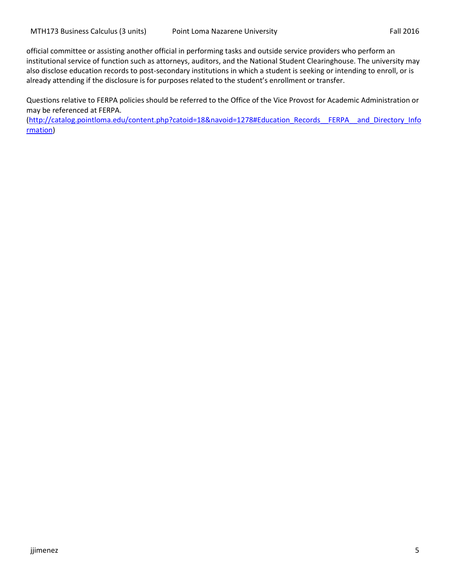official committee or assisting another official in performing tasks and outside service providers who perform an institutional service of function such as attorneys, auditors, and the National Student Clearinghouse. The university may also disclose education records to post-secondary institutions in which a student is seeking or intending to enroll, or is already attending if the disclosure is for purposes related to the student's enrollment or transfer.

Questions relative to FERPA policies should be referred to the Office of the Vice Provost for Academic Administration or may be referenced at FERPA.

(http://catalog.pointloma.edu/content.php?catoid=18&navoid=1278#Education\_Records\_FERPA\_\_and\_Directory\_Info [rmation\)](http://catalog.pointloma.edu/content.php?catoid=18&navoid=1278#Education_Records__FERPA__and_Directory_Information)